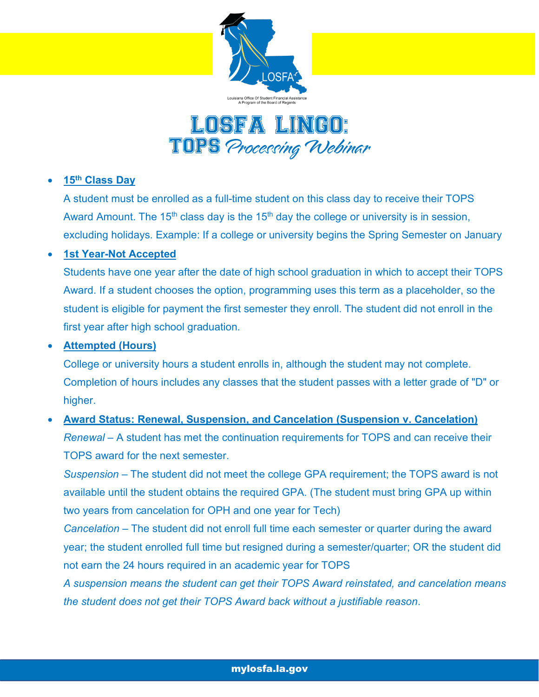



#### • **15th Class Day**

A student must be enrolled as a full-time student on this class day to receive their TOPS Award Amount. The 15<sup>th</sup> class day is the 15<sup>th</sup> day the college or university is in session, excluding holidays. Example: If a college or university begins the Spring Semester on January

## • **1st Year-Not Accepted**

Students have one year after the date of high school graduation in which to accept their TOPS Award. If a student chooses the option, programming uses this term as a placeholder, so the student is eligible for payment the first semester they enroll. The student did not enroll in the first year after high school graduation.

#### • **Attempted (Hours)**

College or university hours a student enrolls in, although the student may not complete. Completion of hours includes any classes that the student passes with a letter grade of "D" or higher.

# • **Award Status: Renewal, Suspension, and Cancelation (Suspension v. Cancelation)** *Renewal* – A student has met the continuation requirements for TOPS and can receive their TOPS award for the next semester.

*Suspension –* The student did not meet the college GPA requirement; the TOPS award is not available until the student obtains the required GPA. (The student must bring GPA up within two years from cancelation for OPH and one year for Tech)

*Cancelation –* The student did not enroll full time each semester or quarter during the award year; the student enrolled full time but resigned during a semester/quarter; OR the student did not earn the 24 hours required in an academic year for TOPS

*A suspension means the student can get their TOPS Award reinstated, and cancelation means the student does not get their TOPS Award back without a justifiable reason*.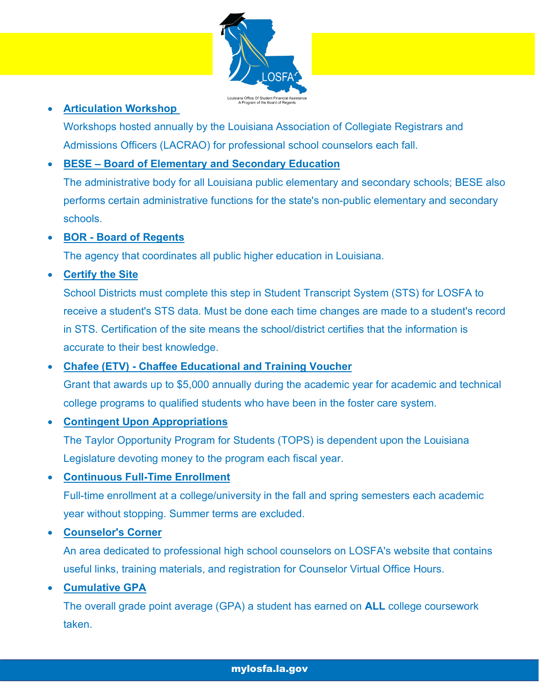

## • **Articulation Workshop**

Workshops hosted annually by the Louisiana Association of Collegiate Registrars and Admissions Officers (LACRAO) for professional school counselors each fall.

## • **BESE – Board of Elementary and Secondary Education**

The administrative body for all Louisiana public elementary and secondary schools; BESE also performs certain administrative functions for the state's non-public elementary and secondary schools.

#### • **BOR - Board of Regents**

The agency that coordinates all public higher education in Louisiana.

## • **Certify the Site**

School Districts must complete this step in Student Transcript System (STS) for LOSFA to receive a student's STS data. Must be done each time changes are made to a student's record in STS. Certification of the site means the school/district certifies that the information is accurate to their best knowledge.

## • **Chafee (ETV) - Chaffee Educational and Training Voucher**

Grant that awards up to \$5,000 annually during the academic year for academic and technical college programs to qualified students who have been in the foster care system.

#### • **Contingent Upon Appropriations**

The Taylor Opportunity Program for Students (TOPS) is dependent upon the Louisiana Legislature devoting money to the program each fiscal year.

#### • **Continuous Full-Time Enrollment**

Full-time enrollment at a college/university in the fall and spring semesters each academic year without stopping. Summer terms are excluded.

#### • **Counselor's Corner**

An area dedicated to professional high school counselors on LOSFA's website that contains useful links, training materials, and registration for Counselor Virtual Office Hours.

#### • **Cumulative GPA**

The overall grade point average (GPA) a student has earned on **ALL** college coursework taken.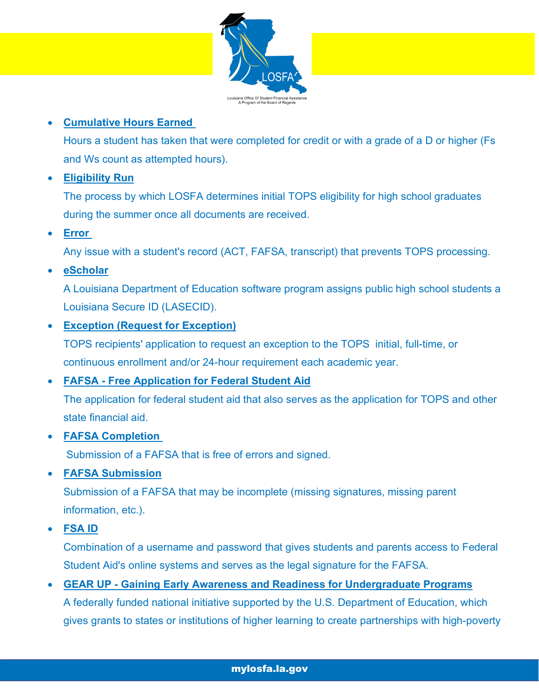

## • **Cumulative Hours Earned**

Hours a student has taken that were completed for credit or with a grade of a D or higher (Fs and Ws count as attempted hours).

# • **Eligibility Run**

The process by which LOSFA determines initial TOPS eligibility for high school graduates during the summer once all documents are received.

# • **Error**

Any issue with a student's record (ACT, FAFSA, transcript) that prevents TOPS processing.

# • **eScholar**

A Louisiana Department of Education software program assigns public high school students a Louisiana Secure ID (LASECID).

## • **Exception (Request for Exception)**

TOPS recipients' application to request an exception to the TOPS initial, full-time, or continuous enrollment and/or 24-hour requirement each academic year.

## • **FAFSA - Free Application for Federal Student Aid**

The application for federal student aid that also serves as the application for TOPS and other state financial aid.

## • **FAFSA Completion**

Submission of a FAFSA that is free of errors and signed.

## • **FAFSA Submission**

Submission of a FAFSA that may be incomplete (missing signatures, missing parent information, etc.).

• **FSA ID**

Combination of a username and password that gives students and parents access to Federal Student Aid's online systems and serves as the legal signature for the FAFSA.

## • **GEAR UP - Gaining Early Awareness and Readiness for Undergraduate Programs**

A federally funded national initiative supported by the U.S. Department of Education, which gives grants to states or institutions of higher learning to create partnerships with high-poverty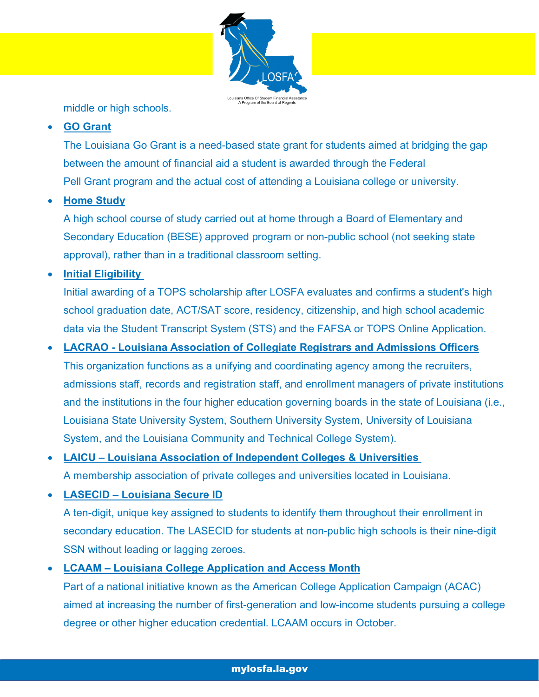

middle or high schools.

## • **GO Grant**

The Louisiana Go Grant is a need-based state grant for students aimed at bridging the gap between the amount of financial aid a student is awarded through the Federal Pell Grant program and the actual cost of attending a Louisiana college or university.

## • **Home Study**

A high school course of study carried out at home through a Board of Elementary and Secondary Education (BESE) approved program or non-public school (not seeking state approval), rather than in a traditional classroom setting.

• **Initial Eligibility**

Initial awarding of a TOPS scholarship after LOSFA evaluates and confirms a student's high school graduation date, ACT/SAT score, residency, citizenship, and high school academic data via the Student Transcript System (STS) and the FAFSA or TOPS Online Application.

## • **LACRAO - Louisiana Association of Collegiate Registrars and Admissions Officers**

This organization functions as a unifying and coordinating agency among the recruiters, admissions staff, records and registration staff, and enrollment managers of private institutions and the institutions in the four higher education governing boards in the state of Louisiana (i.e., Louisiana State University System, Southern University System, University of Louisiana System, and the Louisiana Community and Technical College System).

# • **LAICU – Louisiana Association of Independent Colleges & Universities**  A membership association of private colleges and universities located in Louisiana.

• **LASECID – Louisiana Secure ID** A ten-digit, unique key assigned to students to identify them throughout their enrollment in secondary education. The LASECID for students at non-public high schools is their nine-digit SSN without leading or lagging zeroes.

#### • **LCAAM – Louisiana College Application and Access Month**

Part of a national initiative known as the American College Application Campaign (ACAC) aimed at increasing the number of first-generation and low-income students pursuing a college degree or other higher education credential. LCAAM occurs in October.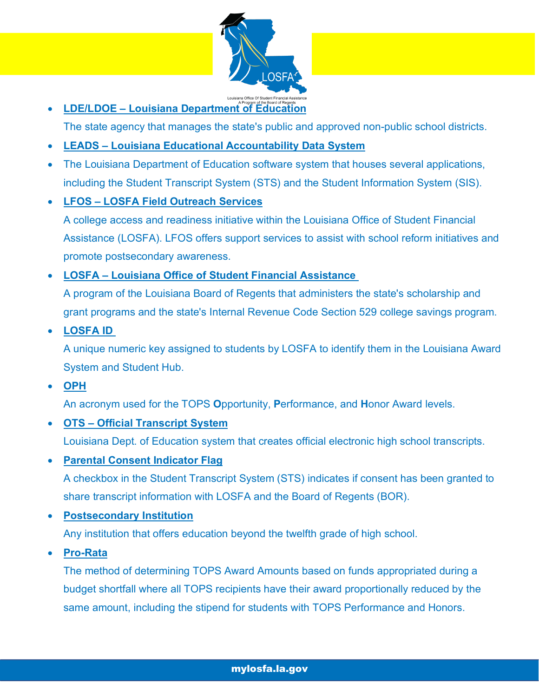

**• LDE/LDOE – Louisiana Department of Education** 

The state agency that manages the state's public and approved non-public school districts.

- **LEADS – Louisiana Educational Accountability Data System**
- The Louisiana Department of Education software system that houses several applications, including the Student Transcript System (STS) and the Student Information System (SIS).
- **LFOS – LOSFA Field Outreach Services**

A college access and readiness initiative within the Louisiana Office of Student Financial Assistance (LOSFA). LFOS offers support services to assist with school reform initiatives and promote postsecondary awareness.

• **LOSFA – Louisiana Office of Student Financial Assistance** 

A program of the Louisiana Board of Regents that administers the state's scholarship and grant programs and the state's Internal Revenue Code Section 529 college savings program.

• **LOSFA ID** 

A unique numeric key assigned to students by LOSFA to identify them in the Louisiana Award System and Student Hub.

• **OPH**

An acronym used for the TOPS **O**pportunity, **P**erformance, and **H**onor Award levels.

• **OTS – Official Transcript System**

Louisiana Dept. of Education system that creates official electronic high school transcripts.

• **Parental Consent Indicator Flag**

A checkbox in the Student Transcript System (STS) indicates if consent has been granted to share transcript information with LOSFA and the Board of Regents (BOR).

• **Postsecondary Institution**

Any institution that offers education beyond the twelfth grade of high school.

• **Pro-Rata**

The method of determining TOPS Award Amounts based on funds appropriated during a budget shortfall where all TOPS recipients have their award proportionally reduced by the same amount, including the stipend for students with TOPS Performance and Honors.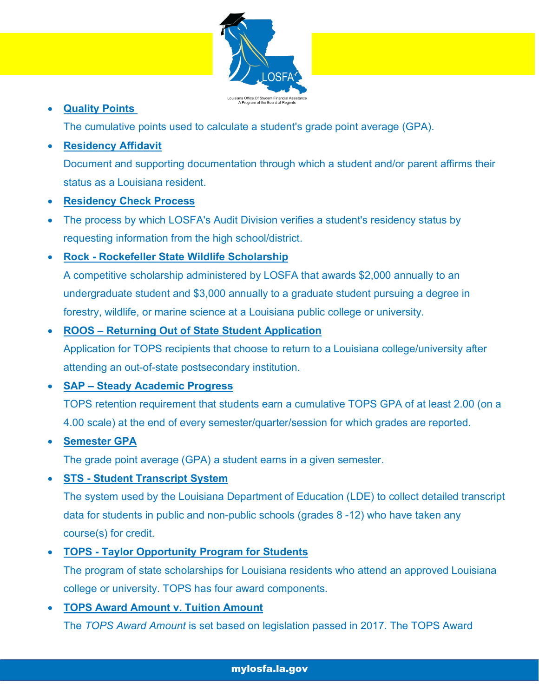

## • **Quality Points**

The cumulative points used to calculate a student's grade point average (GPA).

## • **Residency Affidavit**

Document and supporting documentation through which a student and/or parent affirms their status as a Louisiana resident.

#### • **Residency Check Process**

- The process by which LOSFA's Audit Division verifies a student's residency status by requesting information from the high school/district.
- **Rock - Rockefeller State Wildlife Scholarship**

A competitive scholarship administered by LOSFA that awards \$2,000 annually to an undergraduate student and \$3,000 annually to a graduate student pursuing a degree in forestry, wildlife, or marine science at a Louisiana public college or university.

## • **ROOS – Returning Out of State Student Application**

Application for TOPS recipients that choose to return to a Louisiana college/university after attending an out-of-state postsecondary institution.

## • **SAP – Steady Academic Progress**

TOPS retention requirement that students earn a cumulative TOPS GPA of at least 2.00 (on a 4.00 scale) at the end of every semester/quarter/session for which grades are reported.

#### • **Semester GPA**

The grade point average (GPA) a student earns in a given semester.

## • **STS - Student Transcript System**

The system used by the Louisiana Department of Education (LDE) to collect detailed transcript data for students in public and non-public schools (grades 8 -12) who have taken any course(s) for credit.

## • **TOPS - Taylor Opportunity Program for Students**

The program of state scholarships for Louisiana residents who attend an approved Louisiana college or university. TOPS has four award components.

#### • **TOPS Award Amount v. Tuition Amount**

The *TOPS Award Amount* is set based on legislation passed in 2017. The TOPS Award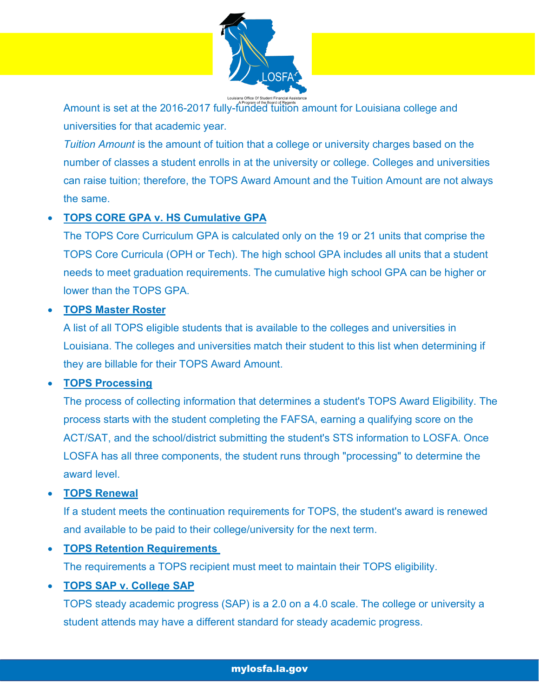

Amount is set at the 2016-2017 fully-funded tuition amount for Louisiana college and universities for that academic year.

*Tuition Amount* is the amount of tuition that a college or university charges based on the number of classes a student enrolls in at the university or college. Colleges and universities can raise tuition; therefore, the TOPS Award Amount and the Tuition Amount are not always the same.

#### • **TOPS CORE GPA v. HS Cumulative GPA**

The TOPS Core Curriculum GPA is calculated only on the 19 or 21 units that comprise the TOPS Core Curricula (OPH or Tech). The high school GPA includes all units that a student needs to meet graduation requirements. The cumulative high school GPA can be higher or lower than the TOPS GPA.

#### • **TOPS Master Roster**

A list of all TOPS eligible students that is available to the colleges and universities in Louisiana. The colleges and universities match their student to this list when determining if they are billable for their TOPS Award Amount.

#### • **TOPS Processing**

The process of collecting information that determines a student's TOPS Award Eligibility. The process starts with the student completing the FAFSA, earning a qualifying score on the ACT/SAT, and the school/district submitting the student's STS information to LOSFA. Once LOSFA has all three components, the student runs through "processing" to determine the award level.

#### • **TOPS Renewal**

If a student meets the continuation requirements for TOPS, the student's award is renewed and available to be paid to their college/university for the next term.

• **TOPS Retention Requirements**

The requirements a TOPS recipient must meet to maintain their TOPS eligibility.

#### • **TOPS SAP v. College SAP**

TOPS steady academic progress (SAP) is a 2.0 on a 4.0 scale. The college or university a student attends may have a different standard for steady academic progress.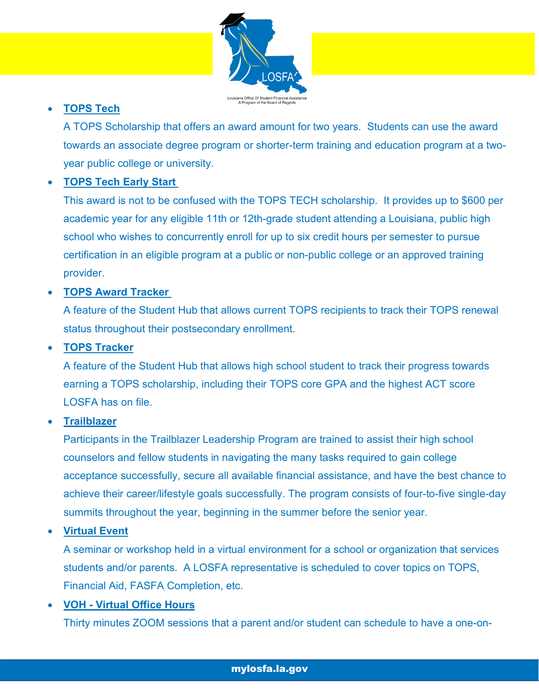

## • **TOPS Tech**

A TOPS Scholarship that offers an award amount for two years. Students can use the award towards an associate degree program or shorter-term training and education program at a twoyear public college or university.

## • **TOPS Tech Early Start**

This award is not to be confused with the TOPS TECH scholarship. It provides up to \$600 per academic year for any eligible 11th or 12th-grade student attending a Louisiana, public high school who wishes to concurrently enroll for up to six credit hours per semester to pursue certification in an eligible program at a public or non-public college or an approved training provider.

#### • **TOPS Award Tracker**

A feature of the Student Hub that allows current TOPS recipients to track their TOPS renewal status throughout their postsecondary enrollment.

#### • **TOPS Tracker**

A feature of the Student Hub that allows high school student to track their progress towards earning a TOPS scholarship, including their TOPS core GPA and the highest ACT score LOSFA has on file.

#### • **Trailblazer**

Participants in the Trailblazer Leadership Program are trained to assist their high school counselors and fellow students in navigating the many tasks required to gain college acceptance successfully, secure all available financial assistance, and have the best chance to achieve their career/lifestyle goals successfully. The program consists of four-to-five single-day summits throughout the year, beginning in the summer before the senior year.

#### • **Virtual Event**

A seminar or workshop held in a virtual environment for a school or organization that services students and/or parents. A LOSFA representative is scheduled to cover topics on TOPS, Financial Aid, FASFA Completion, etc.

#### • **VOH - Virtual Office Hours**

Thirty minutes ZOOM sessions that a parent and/or student can schedule to have a one-on-